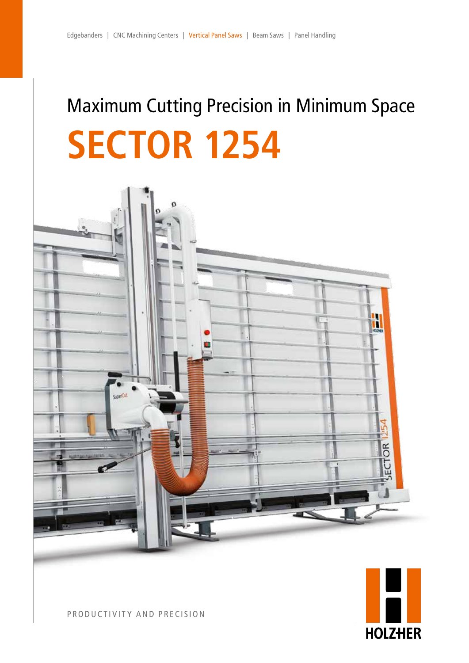# Maximum Cutting Precision in Minimum Space **SECTOR 1254**





PRODUCTIVITY AND PRECISION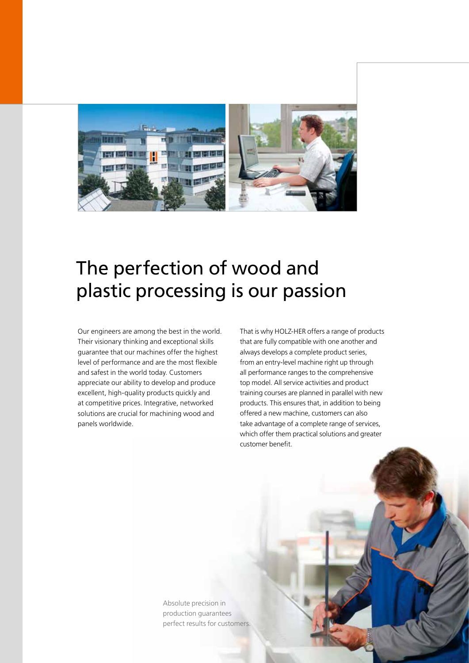

### The perfection of wood and plastic processing is our passion

Our engineers are among the best in the world. Their visionary thinking and exceptional skills guarantee that our machines offer the highest level of performance and are the most flexible and safest in the world today. Customers appreciate our ability to develop and produce excellent, high-quality products quickly and at competitive prices. Integrative, networked solutions are crucial for machining wood and panels worldwide.

That is why HOLZ-HER offers a range of products that are fully compatible with one another and always develops a complete product series, from an entry-level machine right up through all performance ranges to the comprehensive top model. All service activities and product training courses are planned in parallel with new products. This ensures that, in addition to being offered a new machine, customers can also take advantage of a complete range of services, which offer them practical solutions and greater customer benefit.

Absolute precision in production guarantees perfect results for customers.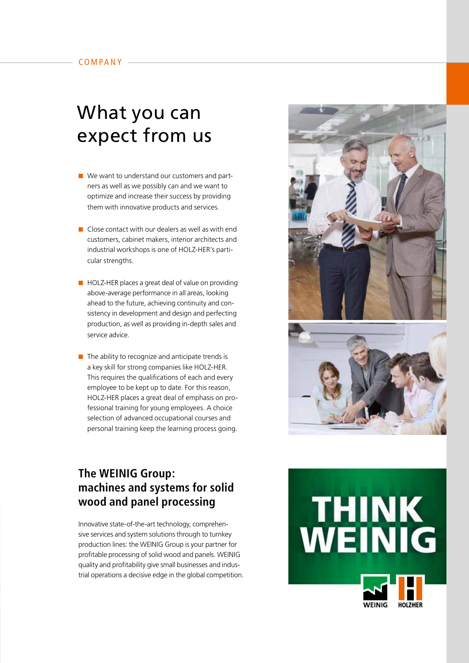### What you can expect from us

- $\blacksquare$  We want to understand our customers and partners as well as we possibly can and we want to optimize and increase their success by providing them with innovative products and services.
- $\blacksquare$  Close contact with our dealers as well as with end customers, cabinet makers, interior architects and industrial workshops is one of HOLZ-HER's particular strengths.
- $\blacksquare$  HOLZ-HER places a great deal of value on providing above-average performance in all areas, looking ahead to the future, achieving continuity and consistency in development and design and perfecting production, as well as providing in-depth sales and service advice.
- $\blacksquare$  The ability to recognize and anticipate trends is a key skill for strong companies like HOLZ-HER. This requires the qualifications of each and every employee to be kept up to date. For this reason, HOLZ-HER places a great deal of emphasis on professional training for young employees. A choice selection of advanced occupational courses and personal training keep the learning process going.



### **The WEINIG Group: machines and systems for solid wood and panel processing**

Innovative state-of-the-art technology, comprehensive services and system solutions through to turnkey production lines: the WEINIG Group is your partner for profitable processing of solid wood and panels. WEINIG quality and profitability give small businesses and industrial operations a decisive edge in the global competition.

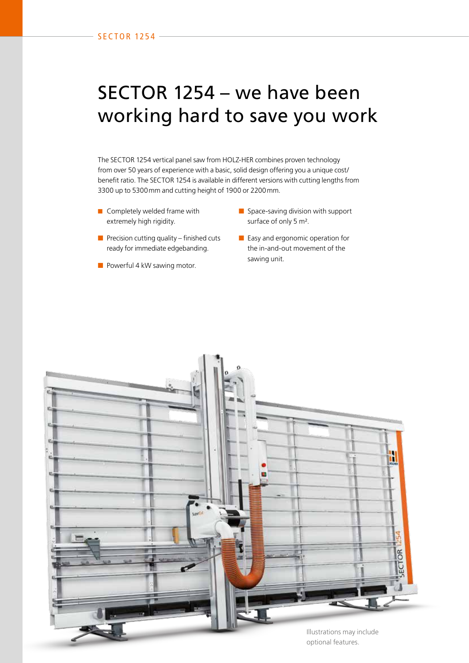### SECTOR 1254 – we have been working hard to save you work

The SECTOR 1254 vertical panel saw from HOLZ-HER combines proven technology from over 50 years of experience with a basic, solid design offering you a unique cost/ benefit ratio. The SECTOR 1254 is available in different versions with cutting lengths from 3300 up to 5300mm and cutting height of 1900 or 2200mm.

- Completely welded frame with extremely high rigidity.
- Space-saving division with support surface of only 5 m².
- $\blacksquare$  Precision cutting quality finished cuts ready for immediate edgebanding.
- Powerful 4 kW sawing motor.
- Easy and ergonomic operation for the in-and-out movement of the sawing unit.

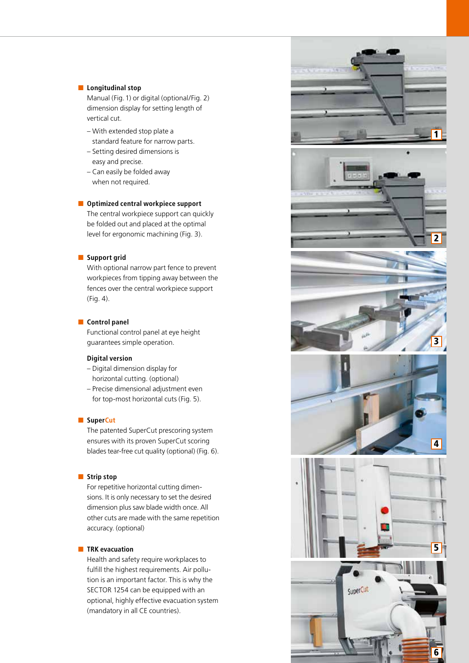#### ■ **Longitudinal stop**

Manual (Fig.1) or digital (optional/Fig. 2) dimension display for setting length of vertical cut.

- With extended stop plate a standard feature for narrow parts.
- Setting desired dimensions is easy and precise.
- Can easily be folded away when not required.

#### ■ **Optimized central workpiece support**

The central workpiece support can quickly be folded out and placed at the optimal level for ergonomic machining (Fig. 3).

#### ■ **Support grid**

With optional narrow part fence to prevent workpieces from tipping away between the fences over the central workpiece support (Fig. 4).

#### ■ **Control panel**

Functional control panel at eye height guarantees simple operation.

#### **Digital version**

- Digital dimension display for horizontal cutting. (optional)
- Precise dimensional adjustment even for top-most horizontal cuts (Fig. 5).

#### ■ SuperCut

The patented SuperCut prescoring system ensures with its proven SuperCut scoring blades tear-free cut quality (optional) (Fig. 6).

#### ■ **Strip stop**

For repetitive horizontal cutting dimen sions. It is only necessary to set the desired dimension plus saw blade width once. All other cuts are made with the same repetition accuracy. (optional)

#### ■ **TRK evacuation**

Health and safety require workplaces to fulfill the highest requirements. Air pollu tion is an important factor. This is why the SECTOR 1254 can be equipped with an optional, highly effective evacuation system (mandatory in all CE countries).

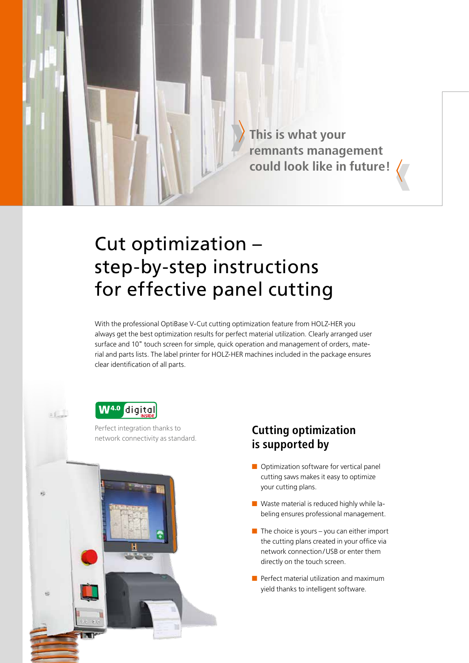

## Cut optimization – step-by-step instructions for effective panel cutting

With the professional OptiBase V-Cut cutting optimization feature from HOLZ-HER you always get the best optimization results for perfect material utilization. Clearly arranged user surface and 10" touch screen for simple, quick operation and management of orders, material and parts lists. The label printer for HOLZ-HER machines included in the package ensures clear identification of all parts.



Perfect integration thanks to



#### Perfect integration thanks to **Cutting optimization** network connectivity as standard. **is supported by**

- Optimization software for vertical panel cutting saws makes it easy to optimize your cutting plans.
- Waste material is reduced highly while labeling ensures professional management.
- $\blacksquare$  The choice is yours you can either import the cutting plans created in your office via network connection/USB or enter them directly on the touch screen.
- Perfect material utilization and maximum yield thanks to intelligent software.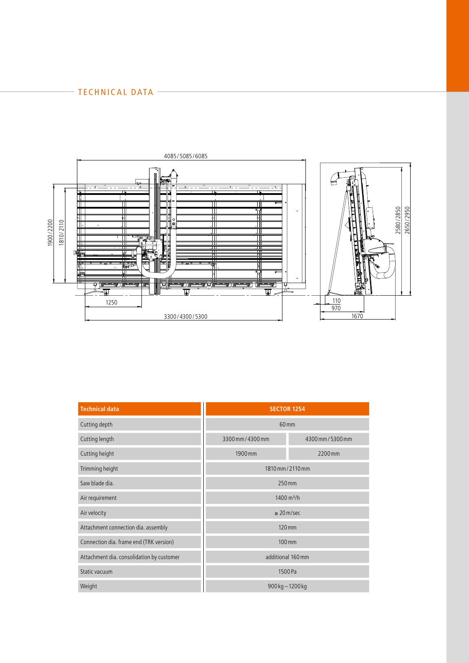#### TECHNICAL DATA –



| <b>Technical data</b>                     | <b>SECTOR 1254</b>     |                   |
|-------------------------------------------|------------------------|-------------------|
| Cutting depth                             | 60 <sub>mm</sub>       |                   |
| Cutting length                            | 3300 mm / 4300 mm      | 4300 mm / 5300 mm |
| Cutting height                            | 1900 mm                | 2200mm            |
| Trimming height                           | 1810 mm / 2110 mm      |                   |
| Saw blade dia.                            | 250 mm                 |                   |
| Air requirement                           | 1400 m <sup>3</sup> /h |                   |
| Air velocity                              | $\geq$ 20 m/sec        |                   |
| Attachment connection dia. assembly       | 120 mm                 |                   |
| Connection dia. frame end (TRK version)   | 100 mm                 |                   |
| Attachment dia. consolidation by customer | additional 160 mm      |                   |
| Static vacuum                             | 1500 Pa                |                   |
| Weight                                    | 900 kg - 1200 kg       |                   |